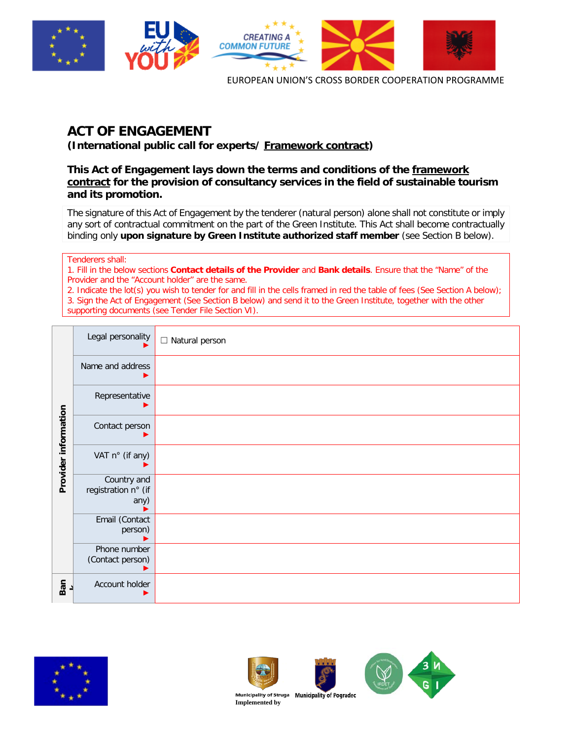

# **ACT OF ENGAGEMENT**

**(International public call for experts/ Framework contract)**

**This Act of Engagement lays down the terms and conditions of the framework contract for the provision of consultancy services in the field of sustainable tourism and its promotion.** 

The signature of this Act of Engagement by the tenderer (natural person) alone shall not constitute or imply any sort of contractual commitment on the part of the Green Institute. This Act shall become contractually binding only **upon signature by Green Institute authorized staff member** (see Section B below).

Tenderers shall:

1. Fill in the below sections **Contact details of the Provider** and **Bank details**. Ensure that the "Name" of the Provider and the "Account holder" are the same.

2. Indicate the lot(s) you wish to tender for and fill in the cells framed in red the table of fees (See Section A below); 3. Sign the Act of Engagement (See Section B below) and send it to the Green Institute, together with the other supporting documents (see Tender File Section VI).

|                      | Legal personality                          | $\Box$ Natural person |
|----------------------|--------------------------------------------|-----------------------|
|                      | Name and address                           |                       |
|                      | Representative                             |                       |
|                      | Contact person                             |                       |
| Provider information | VAT n° (if any)                            |                       |
|                      | Country and<br>registration n° (if<br>any) |                       |
|                      | Email (Contact<br>person)                  |                       |
|                      | Phone number<br>(Contact person)           |                       |
| Ban                  | Account holder                             |                       |







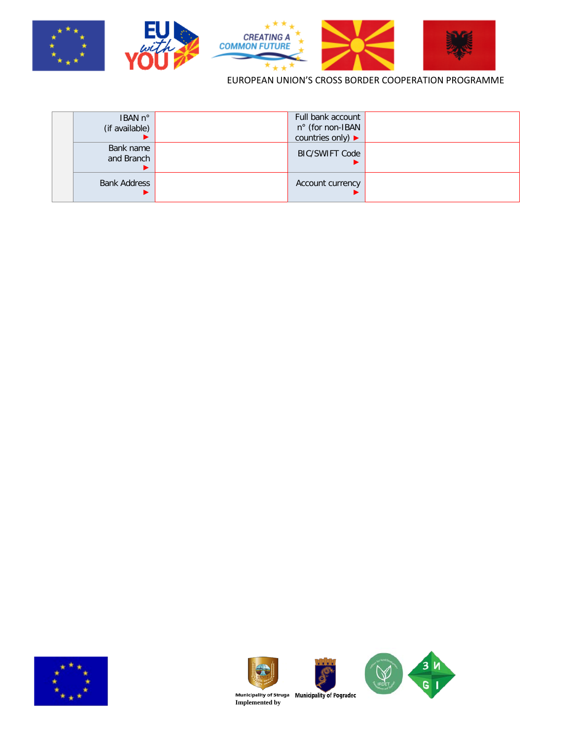

| IBAN n°<br>(if available) | Full bank account<br>n° (for non-IBAN<br>countries only) $\blacktriangleright$ |  |
|---------------------------|--------------------------------------------------------------------------------|--|
| Bank name<br>and Branch   | <b>BIC/SWIFT Code</b>                                                          |  |
| <b>Bank Address</b>       | Account currency                                                               |  |









**Municipality of Struga** Municipality of Pogradec<br>Implemented by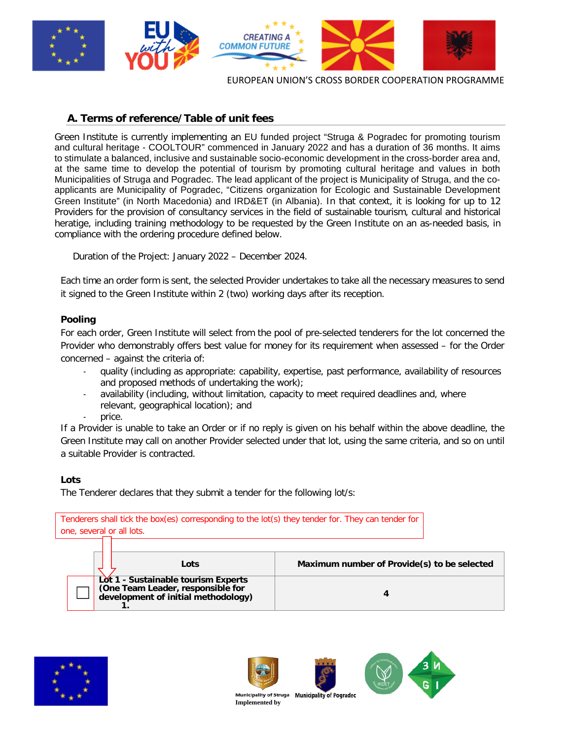

# **A. Terms of reference/Table of unit fees**

Green Institute is currently implementing an EU funded project "Struga & Pogradec for promoting tourism and cultural heritage - COOLTOUR" commenced in January 2022 and has a duration of 36 months. It aims to stimulate a balanced, inclusive and sustainable socio-economic development in the cross-border area and, at the same time to develop the potential of tourism by promoting cultural heritage and values in both Municipalities of Struga and Pogradec. The lead applicant of the project is Municipality of Struga, and the coapplicants are Municipality of Pogradec, "Citizens organization for Ecologic and Sustainable Development Green Institute" (in North Macedonia) and IRD&ET (in Albania). In that context, it is looking for up to 12 Providers for the provision of consultancy services in the field of sustainable tourism, cultural and historical heratige, including training methodology to be requested by the Green Institute on an as-needed basis, in compliance with the ordering procedure defined below.

Duration of the Project: January 2022 – December 2024.

Each time an order form is sent, the selected Provider undertakes to take all the necessary measures to send it signed to the Green Institute within 2 (two) working days after its reception.

## **Pooling**

For each order, Green Institute will select from the pool of pre-selected tenderers for the lot concerned the Provider who demonstrably offers best value for money for its requirement when assessed – for the Order concerned – against the criteria of:

- quality (including as appropriate: capability, expertise, past performance, availability of resources and proposed methods of undertaking the work);
- availability (including, without limitation, capacity to meet required deadlines and, where relevant, geographical location); and
- price.

If a Provider is unable to take an Order or if no reply is given on his behalf within the above deadline, the Green Institute may call on another Provider selected under that lot, using the same criteria, and so on until a suitable Provider is contracted.

## **Lots**

The Tenderer declares that they submit a tender for the following lot/s:

| one, several or all lots. | Tenderers shall tick the box(es) corresponding to the lot(s) they tender for. They can tender for               |                                             |
|---------------------------|-----------------------------------------------------------------------------------------------------------------|---------------------------------------------|
|                           | Lots                                                                                                            | Maximum number of Provide(s) to be selected |
|                           | Lot 1 - Sustainable tourism Experts<br>(One Team Leader, responsible for<br>development of initial methodology) |                                             |



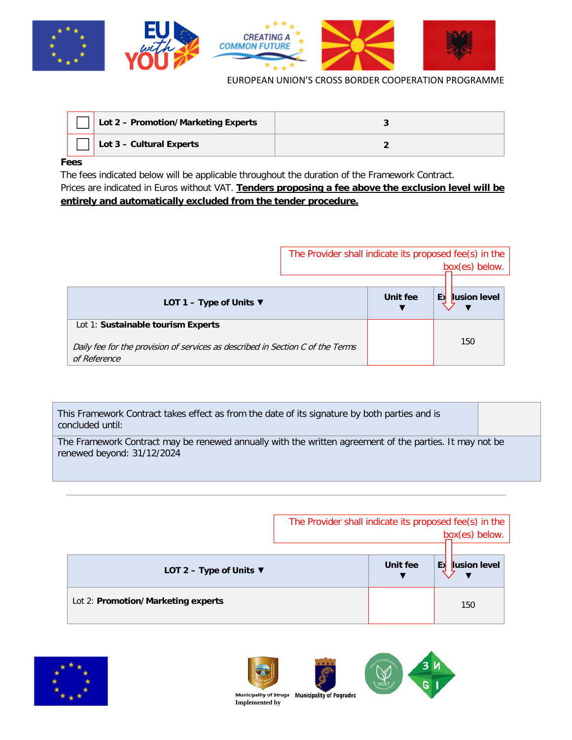

| Lot 2 - Promotion/Marketing Experts |  |
|-------------------------------------|--|
| Lot 3 - Cultural Experts            |  |

## **Fees**

The fees indicated below will be applicable throughout the duration of the Framework Contract. Prices are indicated in Euros without VAT. **Tenders proposing a fee above the exclusion level will be entirely and automatically excluded from the tender procedure.**

|                                                                                                | The Provider shall indicate its proposed fee(s) in the |          |                    |
|------------------------------------------------------------------------------------------------|--------------------------------------------------------|----------|--------------------|
|                                                                                                |                                                        |          | box(es) below.     |
|                                                                                                |                                                        |          |                    |
| LOT 1 – Type of Units $\Psi$                                                                   |                                                        | Unit fee | lusion level<br>ЕX |
| Lot 1: Sustainable tourism Experts                                                             |                                                        |          | 150                |
| Daily fee for the provision of services as described in Section C of the Terms<br>of Reference |                                                        |          |                    |

| This Framework Contract takes effect as from the date of its signature by both parties and is<br>concluded until:                     |  |  |
|---------------------------------------------------------------------------------------------------------------------------------------|--|--|
| The Framework Contract may be renewed annually with the written agreement of the parties. It may not be<br>renewed beyond: 31/12/2024 |  |  |

|                                    | The Provider shall indicate its proposed fee(s) in the |          | box(es) below.     |
|------------------------------------|--------------------------------------------------------|----------|--------------------|
| LOT 2 - Type of Units $\nabla$     |                                                        | Unit fee | EX<br>lusion level |
| Lot 2: Promotion/Marketing experts |                                                        |          | 150                |







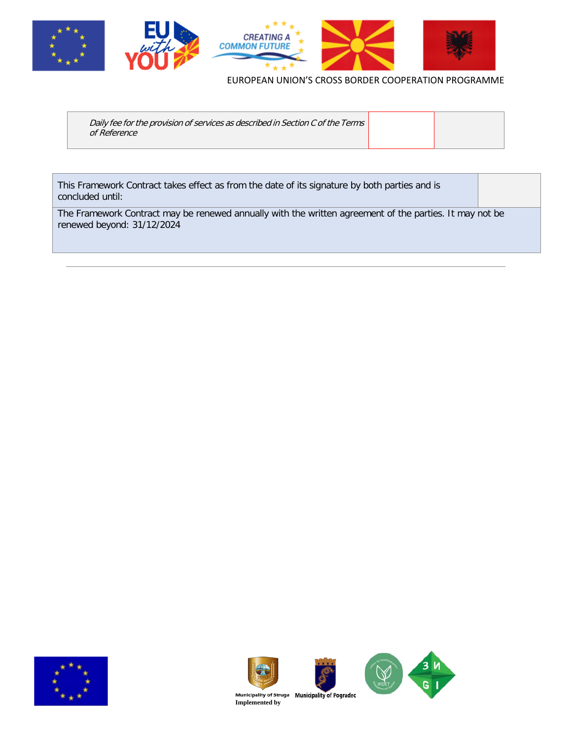

| Daily fee for the provision of services as described in Section C of the Terms<br>of Reference |  |  |
|------------------------------------------------------------------------------------------------|--|--|
|------------------------------------------------------------------------------------------------|--|--|

This Framework Contract takes effect as from the date of its signature by both parties and is concluded until:

The Framework Contract may be renewed annually with the written agreement of the parties. It may not be renewed beyond: 31/12/2024









**Municipality of Struga** Municipality of Pogradec<br>Implemented by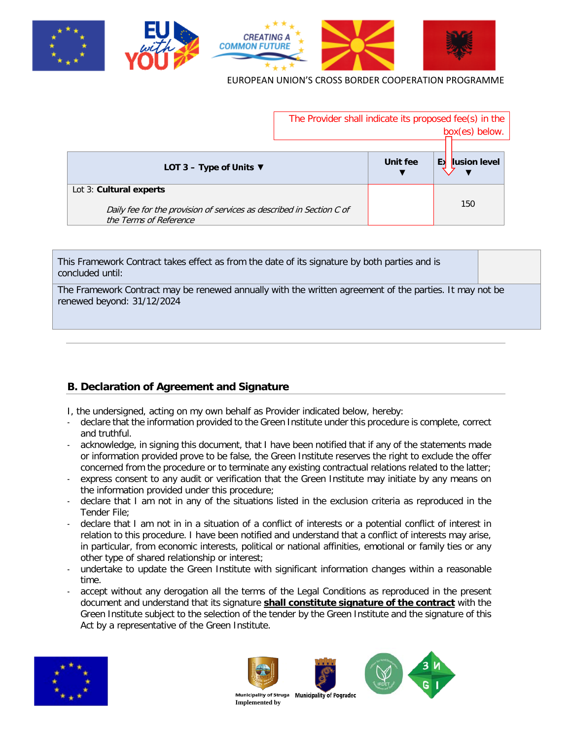

|                                                                                                                           | The Provider shall indicate its proposed fee(s) in the<br>box(es) below. |          |                    |
|---------------------------------------------------------------------------------------------------------------------------|--------------------------------------------------------------------------|----------|--------------------|
| LOT 3 – Type of Units $\nabla$                                                                                            |                                                                          | Unit fee | Еx<br>lusion level |
| Lot 3: Cultural experts<br>Daily fee for the provision of services as described in Section C of<br>the Terms of Reference |                                                                          |          | 150                |

This Framework Contract takes effect as from the date of its signature by both parties and is concluded until:

The Framework Contract may be renewed annually with the written agreement of the parties. It may not be renewed beyond: 31/12/2024

## **B. Declaration of Agreement and Signature**

I, the undersigned, acting on my own behalf as Provider indicated below, hereby:

- declare that the information provided to the Green Institute under this procedure is complete, correct and truthful.
- acknowledge, in signing this document, that I have been notified that if any of the statements made or information provided prove to be false, the Green Institute reserves the right to exclude the offer concerned from the procedure or to terminate any existing contractual relations related to the latter;
- express consent to any audit or verification that the Green Institute may initiate by any means on the information provided under this procedure;
- declare that I am not in any of the situations listed in the exclusion criteria as reproduced in the Tender File;
- declare that I am not in in a situation of a conflict of interests or a potential conflict of interest in relation to this procedure. I have been notified and understand that a conflict of interests may arise, in particular, from economic interests, political or national affinities, emotional or family ties or any other type of shared relationship or interest;
- undertake to update the Green Institute with significant information changes within a reasonable time.
- accept without any derogation all the terms of the Legal Conditions as reproduced in the present document and understand that its signature **shall constitute signature of the contract** with the Green Institute subject to the selection of the tender by the Green Institute and the signature of this Act by a representative of the Green Institute.









**Municipality of Struga<br>Implemented by Municipality of Pograded**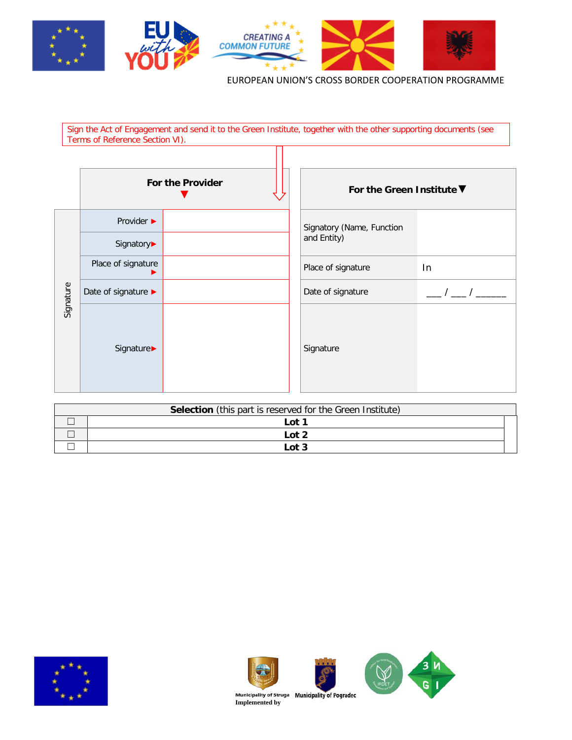

Sign the Act of Engagement and send it to the Green Institute, together with the other supporting documents (see Terms of Reference Section VI).  $\overline{\Pi}$ 

|           | For the Provider    |  | For the Green Institute ▼ |    |
|-----------|---------------------|--|---------------------------|----|
|           | Provider ▶          |  | Signatory (Name, Function |    |
| Signature | Signatory▶          |  | and Entity)               |    |
|           | Place of signature  |  | Place of signature        | In |
|           | Date of signature ▶ |  | Date of signature         |    |
|           | Signature▶          |  | Signature                 |    |

| <b>Selection</b> (this part is reserved for the Green Institute) |       |  |  |
|------------------------------------------------------------------|-------|--|--|
|                                                                  | Lot 1 |  |  |
|                                                                  | Lot 2 |  |  |
|                                                                  | Lot 3 |  |  |





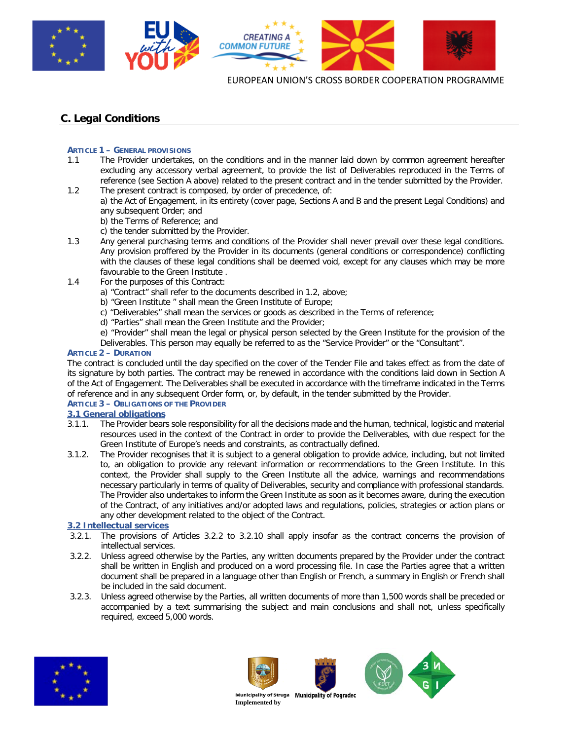

# **C. Legal Conditions**

## **ARTICLE 1 – GENERAL PROVISIONS**

- 1.1 The Provider undertakes, on the conditions and in the manner laid down by common agreement hereafter excluding any accessory verbal agreement, to provide the list of Deliverables reproduced in the Terms of reference (see Section A above) related to the present contract and in the tender submitted by the Provider. 1.2 The present contract is composed, by order of precedence, of:
	- a) the Act of Engagement, in its entirety (cover page, Sections A and B and the present Legal Conditions) and any subsequent Order; and
		- b) the Terms of Reference; and
		- c) the tender submitted by the Provider.
- 1.3 Any general purchasing terms and conditions of the Provider shall never prevail over these legal conditions. Any provision proffered by the Provider in its documents (general conditions or correspondence) conflicting with the clauses of these legal conditions shall be deemed void, except for any clauses which may be more favourable to the Green Institute .
- 1.4 For the purposes of this Contract:
	- a) "Contract" shall refer to the documents described in 1.2, above;
	- b) "Green Institute " shall mean the Green Institute of Europe;
	- c) "Deliverables" shall mean the services or goods as described in the Terms of reference;
	- d) "Parties" shall mean the Green Institute and the Provider;
	- e) "Provider" shall mean the legal or physical person selected by the Green Institute for the provision of the
	- Deliverables. This person may equally be referred to as the "Service Provider" or the "Consultant".

## **ARTICLE 2 – DURATION**

The contract is concluded until the day specified on the cover of the Tender File and takes effect as from the date of its signature by both parties. The contract may be renewed in accordance with the conditions laid down in Section A of the Act of Engagement. The Deliverables shall be executed in accordance with the timeframe indicated in the Terms of reference and in any subsequent Order form, or, by default, in the tender submitted by the Provider.

## **ARTICLE 3 – OBLIGATIONS OF THE PROVIDER**

# **3.1 General obligations**<br>**3.1.1.** The Provider bears

- 3.1.1. The Provider bears sole responsibility for all the decisions made and the human, technical, logistic and material resources used in the context of the Contract in order to provide the Deliverables, with due respect for the Green Institute of Europe's needs and constraints, as contractually defined.
- 3.1.2. The Provider recognises that it is subject to a general obligation to provide advice, including, but not limited to, an obligation to provide any relevant information or recommendations to the Green Institute. In this context, the Provider shall supply to the Green Institute all the advice, warnings and recommendations necessary particularly in terms of quality of Deliverables, security and compliance with professional standards. The Provider also undertakes to inform the Green Institute as soon as it becomes aware, during the execution of the Contract, of any initiatives and/or adopted laws and regulations, policies, strategies or action plans or any other development related to the object of the Contract.

## **3.2 Intellectual services**

- 3.2.1. The provisions of Articles 3.2.2 to 3.2.10 shall apply insofar as the contract concerns the provision of intellectual services.
- 3.2.2. Unless agreed otherwise by the Parties, any written documents prepared by the Provider under the contract shall be written in English and produced on a word processing file. In case the Parties agree that a written document shall be prepared in a language other than English or French, a summary in English or French shall be included in the said document.
- 3.2.3. Unless agreed otherwise by the Parties, all written documents of more than 1,500 words shall be preceded or accompanied by a text summarising the subject and main conclusions and shall not, unless specifically required, exceed 5,000 words.





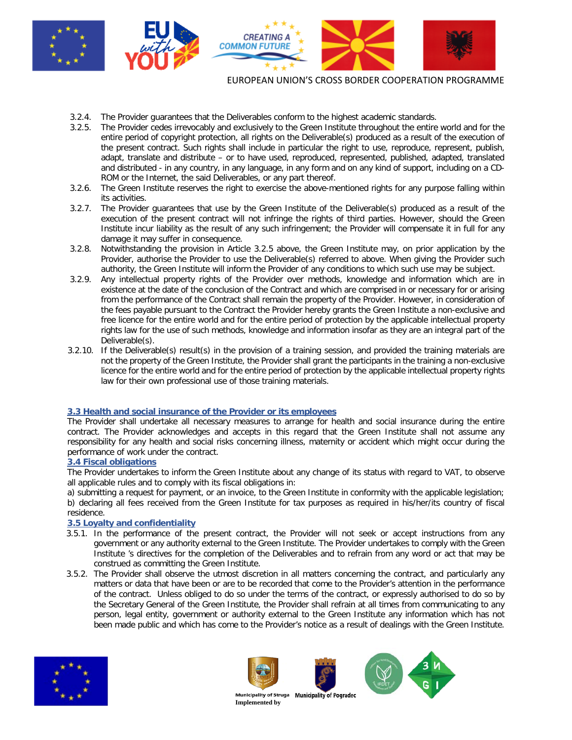

- 3.2.4. The Provider guarantees that the Deliverables conform to the highest academic standards.
- 3.2.5. The Provider cedes irrevocably and exclusively to the Green Institute throughout the entire world and for the entire period of copyright protection, all rights on the Deliverable(s) produced as a result of the execution of the present contract. Such rights shall include in particular the right to use, reproduce, represent, publish, adapt, translate and distribute – or to have used, reproduced, represented, published, adapted, translated and distributed - in any country, in any language, in any form and on any kind of support, including on a CD-ROM or the Internet, the said Deliverables, or any part thereof.
- 3.2.6. The Green Institute reserves the right to exercise the above-mentioned rights for any purpose falling within its activities.
- 3.2.7. The Provider guarantees that use by the Green Institute of the Deliverable(s) produced as a result of the execution of the present contract will not infringe the rights of third parties. However, should the Green Institute incur liability as the result of any such infringement; the Provider will compensate it in full for any damage it may suffer in consequence.
- 3.2.8. Notwithstanding the provision in Article 3.2.5 above, the Green Institute may, on prior application by the Provider, authorise the Provider to use the Deliverable(s) referred to above. When giving the Provider such authority, the Green Institute will inform the Provider of any conditions to which such use may be subject.
- 3.2.9. Any intellectual property rights of the Provider over methods, knowledge and information which are in existence at the date of the conclusion of the Contract and which are comprised in or necessary for or arising from the performance of the Contract shall remain the property of the Provider. However, in consideration of the fees payable pursuant to the Contract the Provider hereby grants the Green Institute a non-exclusive and free licence for the entire world and for the entire period of protection by the applicable intellectual property rights law for the use of such methods, knowledge and information insofar as they are an integral part of the Deliverable(s).
- 3.2.10. If the Deliverable(s) result(s) in the provision of a training session, and provided the training materials are not the property of the Green Institute, the Provider shall grant the participants in the training a non-exclusive licence for the entire world and for the entire period of protection by the applicable intellectual property rights law for their own professional use of those training materials.

## **3.3 Health and social insurance of the Provider or its employees**

The Provider shall undertake all necessary measures to arrange for health and social insurance during the entire contract. The Provider acknowledges and accepts in this regard that the Green Institute shall not assume any responsibility for any health and social risks concerning illness, maternity or accident which might occur during the performance of work under the contract.

## **3.4 Fiscal obligations**

The Provider undertakes to inform the Green Institute about any change of its status with regard to VAT, to observe all applicable rules and to comply with its fiscal obligations in:

a) submitting a request for payment, or an invoice, to the Green Institute in conformity with the applicable legislation; b) declaring all fees received from the Green Institute for tax purposes as required in his/her/its country of fiscal residence.

## **3.5 Loyalty and confidentiality**

- 3.5.1. In the performance of the present contract, the Provider will not seek or accept instructions from any government or any authority external to the Green Institute. The Provider undertakes to comply with the Green Institute 's directives for the completion of the Deliverables and to refrain from any word or act that may be construed as committing the Green Institute.
- 3.5.2. The Provider shall observe the utmost discretion in all matters concerning the contract, and particularly any matters or data that have been or are to be recorded that come to the Provider's attention in the performance of the contract. Unless obliged to do so under the terms of the contract, or expressly authorised to do so by the Secretary General of the Green Institute, the Provider shall refrain at all times from communicating to any person, legal entity, government or authority external to the Green Institute any information which has not been made public and which has come to the Provider's notice as a result of dealings with the Green Institute.









**Municipality of Struga<br>Implemented by Municipality of Pogradec**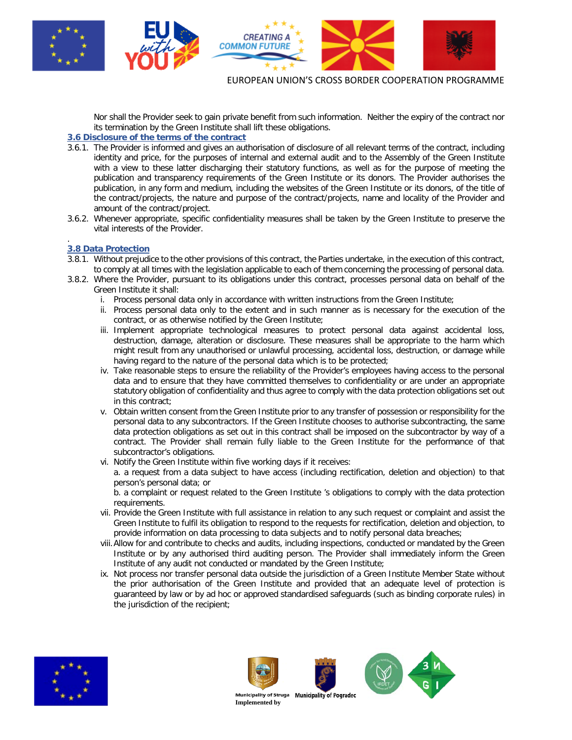

Nor shall the Provider seek to gain private benefit from such information. Neither the expiry of the contract nor its termination by the Green Institute shall lift these obligations.

## **3.6 Disclosure of the terms of the contract**

- 3.6.1. The Provider is informed and gives an authorisation of disclosure of all relevant terms of the contract, including identity and price, for the purposes of internal and external audit and to the Assembly of the Green Institute with a view to these latter discharging their statutory functions, as well as for the purpose of meeting the publication and transparency requirements of the Green Institute or its donors. The Provider authorises the publication, in any form and medium, including the websites of the Green Institute or its donors, of the title of the contract/projects, the nature and purpose of the contract/projects, name and locality of the Provider and amount of the contract/project.
- 3.6.2. Whenever appropriate, specific confidentiality measures shall be taken by the Green Institute to preserve the vital interests of the Provider.

#### . **3.8 Data Protection**

- 3.8.1. Without prejudice to the other provisions of this contract, the Parties undertake, in the execution of this contract, to comply at all times with the legislation applicable to each of them concerning the processing of personal data.
- 3.8.2. Where the Provider, pursuant to its obligations under this contract, processes personal data on behalf of the Green Institute it shall:
	- i. Process personal data only in accordance with written instructions from the Green Institute;
	- ii. Process personal data only to the extent and in such manner as is necessary for the execution of the contract, or as otherwise notified by the Green Institute;
	- iii. Implement appropriate technological measures to protect personal data against accidental loss, destruction, damage, alteration or disclosure. These measures shall be appropriate to the harm which might result from any unauthorised or unlawful processing, accidental loss, destruction, or damage while having regard to the nature of the personal data which is to be protected;
	- iv. Take reasonable steps to ensure the reliability of the Provider's employees having access to the personal data and to ensure that they have committed themselves to confidentiality or are under an appropriate statutory obligation of confidentiality and thus agree to comply with the data protection obligations set out in this contract;
	- v. Obtain written consent from the Green Institute prior to any transfer of possession or responsibility for the personal data to any subcontractors. If the Green Institute chooses to authorise subcontracting, the same data protection obligations as set out in this contract shall be imposed on the subcontractor by way of a contract. The Provider shall remain fully liable to the Green Institute for the performance of that subcontractor's obligations.
	- vi. Notify the Green Institute within five working days if it receives:

a. a request from a data subject to have access (including rectification, deletion and objection) to that person's personal data; or

b. a complaint or request related to the Green Institute 's obligations to comply with the data protection requirements.

- vii. Provide the Green Institute with full assistance in relation to any such request or complaint and assist the Green Institute to fulfil its obligation to respond to the requests for rectification, deletion and objection, to provide information on data processing to data subjects and to notify personal data breaches;
- viii.Allow for and contribute to checks and audits, including inspections, conducted or mandated by the Green Institute or by any authorised third auditing person. The Provider shall immediately inform the Green Institute of any audit not conducted or mandated by the Green Institute;
- ix. Not process nor transfer personal data outside the jurisdiction of a Green Institute Member State without the prior authorisation of the Green Institute and provided that an adequate level of protection is guaranteed by law or by ad hoc or approved standardised safeguards (such as binding corporate rules) in the jurisdiction of the recipient;









**Municipality of Struga<br>Implemented by Municipality of Pograded**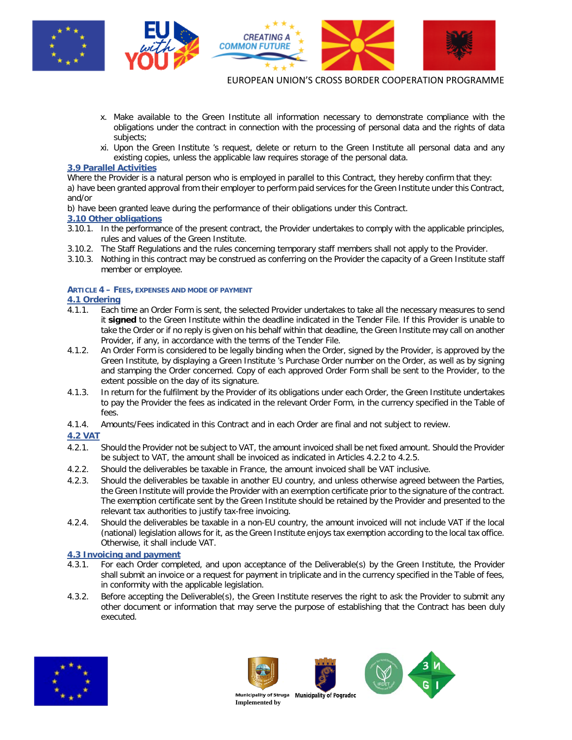

- x. Make available to the Green Institute all information necessary to demonstrate compliance with the obligations under the contract in connection with the processing of personal data and the rights of data subjects;
- xi. Upon the Green Institute 's request, delete or return to the Green Institute all personal data and any existing copies, unless the applicable law requires storage of the personal data.

### **3.9 Parallel Activities**

Where the Provider is a natural person who is employed in parallel to this Contract, they hereby confirm that they:

a) have been granted approval from their employer to perform paid services for the Green Institute under this Contract, and/or

b) have been granted leave during the performance of their obligations under this Contract.

## **3.10 Other obligations**

- 3.10.1. In the performance of the present contract, the Provider undertakes to comply with the applicable principles, rules and values of the Green Institute.
- 3.10.2. The Staff Regulations and the rules concerning temporary staff members shall not apply to the Provider.
- 3.10.3. Nothing in this contract may be construed as conferring on the Provider the capacity of a Green Institute staff member or employee.

## **ARTICLE 4 – FEES, EXPENSES AND MODE OF PAYMENT**

## **4.1 Ordering**

- 4.1.1. Each time an Order Form is sent, the selected Provider undertakes to take all the necessary measures to send it **signed** to the Green Institute within the deadline indicated in the Tender File. If this Provider is unable to take the Order or if no reply is given on his behalf within that deadline, the Green Institute may call on another Provider, if any, in accordance with the terms of the Tender File.
- 4.1.2. An Order Form is considered to be legally binding when the Order, signed by the Provider, is approved by the Green Institute, by displaying a Green Institute 's Purchase Order number on the Order, as well as by signing and stamping the Order concerned. Copy of each approved Order Form shall be sent to the Provider, to the extent possible on the day of its signature.
- 4.1.3. In return for the fulfilment by the Provider of its obligations under each Order, the Green Institute undertakes to pay the Provider the fees as indicated in the relevant Order Form, in the currency specified in the Table of fees.
- 4.1.4. Amounts/Fees indicated in this Contract and in each Order are final and not subject to review.

## **4.2 VAT**

- 4.2.1. Should the Provider not be subject to VAT, the amount invoiced shall be net fixed amount. Should the Provider be subject to VAT, the amount shall be invoiced as indicated in Articles 4.2.2 to 4.2.5.
- 4.2.2. Should the deliverables be taxable in France, the amount invoiced shall be VAT inclusive.
- 4.2.3. Should the deliverables be taxable in another EU country, and unless otherwise agreed between the Parties, the Green Institute will provide the Provider with an exemption certificate prior to the signature of the contract. The exemption certificate sent by the Green Institute should be retained by the Provider and presented to the relevant tax authorities to justify tax-free invoicing.
- 4.2.4. Should the deliverables be taxable in a non-EU country, the amount invoiced will not include VAT if the local (national) legislation allows for it, as the Green Institute enjoys tax exemption according to the local tax office. Otherwise, it shall include VAT.

# **4.3 Invoicing and payment**

- 4.3.1. For each Order completed, and upon acceptance of the Deliverable(s) by the Green Institute, the Provider shall submit an invoice or a request for payment in triplicate and in the currency specified in the Table of fees, in conformity with the applicable legislation.
- 4.3.2. Before accepting the Deliverable(s), the Green Institute reserves the right to ask the Provider to submit any other document or information that may serve the purpose of establishing that the Contract has been duly executed.







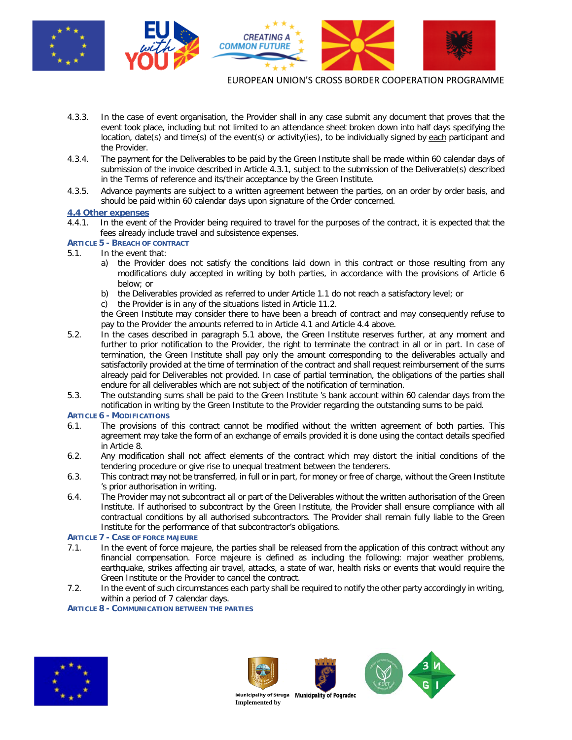

- 4.3.3. In the case of event organisation, the Provider shall in any case submit any document that proves that the event took place, including but not limited to an attendance sheet broken down into half days specifying the location, date(s) and time(s) of the event(s) or activity(ies), to be individually signed by each participant and the Provider.
- 4.3.4. The payment for the Deliverables to be paid by the Green Institute shall be made within 60 calendar days of submission of the invoice described in Article 4.3.1, subject to the submission of the Deliverable(s) described in the Terms of reference and its/their acceptance by the Green Institute.
- 4.3.5. Advance payments are subject to a written agreement between the parties, on an order by order basis, and should be paid within 60 calendar days upon signature of the Order concerned.

# **4.4 Other expenses**

- In the event of the Provider being required to travel for the purposes of the contract, it is expected that the fees already include travel and subsistence expenses.
- **ARTICLE 5 - BREACH OF CONTRACT**
- 5.1. In the event that:
	- a) the Provider does not satisfy the conditions laid down in this contract or those resulting from any modifications duly accepted in writing by both parties, in accordance with the provisions of Article 6 below; or
	- b) the Deliverables provided as referred to under Article 1.1 do not reach a satisfactory level; or
	- c) the Provider is in any of the situations listed in Article 11.2.

the Green Institute may consider there to have been a breach of contract and may consequently refuse to pay to the Provider the amounts referred to in Article 4.1 and Article 4.4 above.

- 5.2. In the cases described in paragraph 5.1 above, the Green Institute reserves further, at any moment and further to prior notification to the Provider, the right to terminate the contract in all or in part. In case of termination, the Green Institute shall pay only the amount corresponding to the deliverables actually and satisfactorily provided at the time of termination of the contract and shall request reimbursement of the sums already paid for Deliverables not provided. In case of partial termination, the obligations of the parties shall endure for all deliverables which are not subject of the notification of termination.
- 5.3. The outstanding sums shall be paid to the Green Institute 's bank account within 60 calendar days from the notification in writing by the Green Institute to the Provider regarding the outstanding sums to be paid.

## **ARTICLE 6 - MODIFICATIONS**

- 6.1. The provisions of this contract cannot be modified without the written agreement of both parties. This agreement may take the form of an exchange of emails provided it is done using the contact details specified in Article 8.
- 6.2. Any modification shall not affect elements of the contract which may distort the initial conditions of the tendering procedure or give rise to unequal treatment between the tenderers.
- 6.3. This contract may not be transferred, in full or in part, for money or free of charge, without the Green Institute 's prior authorisation in writing.
- 6.4. The Provider may not subcontract all or part of the Deliverables without the written authorisation of the Green Institute. If authorised to subcontract by the Green Institute, the Provider shall ensure compliance with all contractual conditions by all authorised subcontractors. The Provider shall remain fully liable to the Green Institute for the performance of that subcontractor's obligations.

## **ARTICLE 7 - CASE OF FORCE MAJEURE**

- 7.1. In the event of force majeure, the parties shall be released from the application of this contract without any financial compensation. Force majeure is defined as including the following: major weather problems, earthquake, strikes affecting air travel, attacks, a state of war, health risks or events that would require the Green Institute or the Provider to cancel the contract.
- 7.2. In the event of such circumstances each party shall be required to notify the other party accordingly in writing, within a period of 7 calendar days.

## **ARTICLE 8 - COMMUNICATION BETWEEN THE PARTIES**







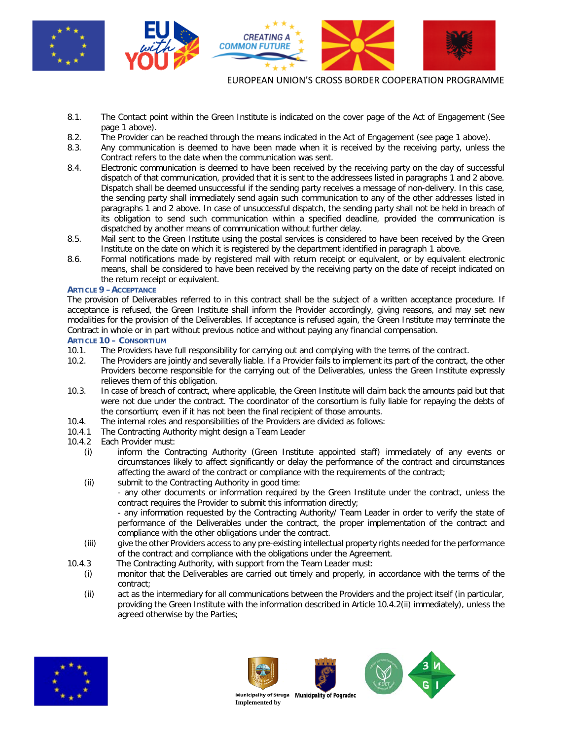

- 8.1. The Contact point within the Green Institute is indicated on the cover page of the Act of Engagement (See page 1 above).
- 8.2. The Provider can be reached through the means indicated in the Act of Engagement (see page 1 above).
- 8.3. Any communication is deemed to have been made when it is received by the receiving party, unless the Contract refers to the date when the communication was sent.
- 8.4. Electronic communication is deemed to have been received by the receiving party on the day of successful dispatch of that communication, provided that it is sent to the addressees listed in paragraphs 1 and 2 above. Dispatch shall be deemed unsuccessful if the sending party receives a message of non-delivery. In this case, the sending party shall immediately send again such communication to any of the other addresses listed in paragraphs 1 and 2 above. In case of unsuccessful dispatch, the sending party shall not be held in breach of its obligation to send such communication within a specified deadline, provided the communication is dispatched by another means of communication without further delay.
- 8.5. Mail sent to the Green Institute using the postal services is considered to have been received by the Green Institute on the date on which it is registered by the department identified in paragraph 1 above.
- 8.6. Formal notifications made by registered mail with return receipt or equivalent, or by equivalent electronic means, shall be considered to have been received by the receiving party on the date of receipt indicated on the return receipt or equivalent.

## **ARTICLE 9 –ACCEPTANCE**

The provision of Deliverables referred to in this contract shall be the subject of a written acceptance procedure. If acceptance is refused, the Green Institute shall inform the Provider accordingly, giving reasons, and may set new modalities for the provision of the Deliverables. If acceptance is refused again, the Green Institute may terminate the Contract in whole or in part without previous notice and without paying any financial compensation.

# **ARTICLE 10 – CONSORTIUM**<br>10.1. The Providers have

- The Providers have full responsibility for carrying out and complying with the terms of the contract.
- 10.2. The Providers are jointly and severally liable. If a Provider fails to implement its part of the contract, the other Providers become responsible for the carrying out of the Deliverables, unless the Green Institute expressly relieves them of this obligation.
- 10.3. In case of breach of contract, where applicable, the Green Institute will claim back the amounts paid but that were not due under the contract. The coordinator of the consortium is fully liable for repaying the debts of the consortium; even if it has not been the final recipient of those amounts.
- 10.4. The internal roles and responsibilities of the Providers are divided as follows:
- 10.4.1 The Contracting Authority might design a Team Leader
- 10.4.2 Each Provider must:
	- (i) inform the Contracting Authority (Green Institute appointed staff) immediately of any events or circumstances likely to affect significantly or delay the performance of the contract and circumstances affecting the award of the contract or compliance with the requirements of the contract;
	- (ii) submit to the Contracting Authority in good time: - any other documents or information required by the Green Institute under the contract, unless the contract requires the Provider to submit this information directly;
		- any information requested by the Contracting Authority/ Team Leader in order to verify the state of performance of the Deliverables under the contract, the proper implementation of the contract and compliance with the other obligations under the contract.
	- (iii) give the other Providers access to any pre-existing intellectual property rights needed for the performance of the contract and compliance with the obligations under the Agreement.
- 10.4.3 The Contracting Authority, with support from the Team Leader must:
	- (i) monitor that the Deliverables are carried out timely and properly, in accordance with the terms of the contract;
	- (ii) act as the intermediary for all communications between the Providers and the project itself (in particular, providing the Green Institute with the information described in Article 10.4.2(ii) immediately), unless the agreed otherwise by the Parties;